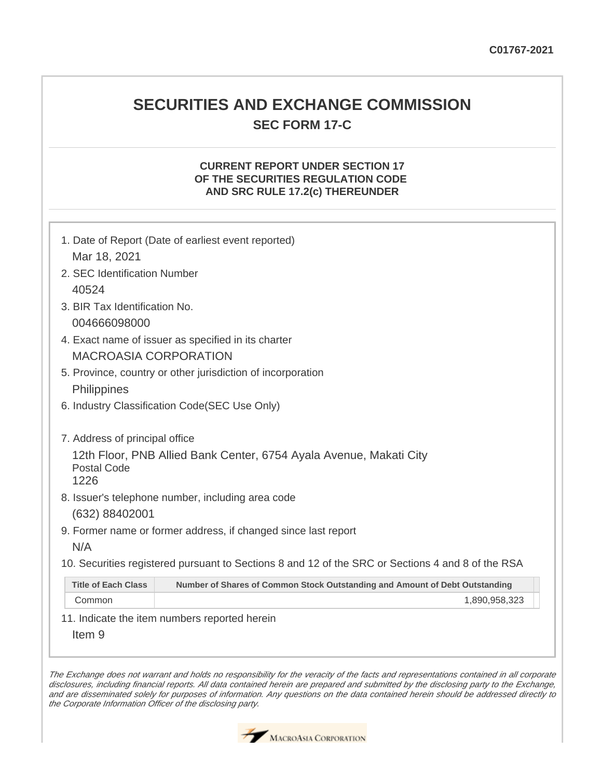# **SECURITIES AND EXCHANGE COMMISSION SEC FORM 17-C**

## **CURRENT REPORT UNDER SECTION 17 OF THE SECURITIES REGULATION CODE AND SRC RULE 17.2(c) THEREUNDER**

|                                                                                                   | 1. Date of Report (Date of earliest event reported)                         |  |  |  |
|---------------------------------------------------------------------------------------------------|-----------------------------------------------------------------------------|--|--|--|
| Mar 18, 2021                                                                                      |                                                                             |  |  |  |
| 2. SEC Identification Number                                                                      |                                                                             |  |  |  |
| 40524                                                                                             |                                                                             |  |  |  |
| 3. BIR Tax Identification No.                                                                     |                                                                             |  |  |  |
| 004666098000                                                                                      |                                                                             |  |  |  |
| 4. Exact name of issuer as specified in its charter                                               |                                                                             |  |  |  |
| <b>MACROASIA CORPORATION</b>                                                                      |                                                                             |  |  |  |
| 5. Province, country or other jurisdiction of incorporation                                       |                                                                             |  |  |  |
| <b>Philippines</b>                                                                                |                                                                             |  |  |  |
| 6. Industry Classification Code(SEC Use Only)                                                     |                                                                             |  |  |  |
|                                                                                                   |                                                                             |  |  |  |
| 7. Address of principal office                                                                    |                                                                             |  |  |  |
| 12th Floor, PNB Allied Bank Center, 6754 Ayala Avenue, Makati City<br>Postal Code                 |                                                                             |  |  |  |
| 1226                                                                                              |                                                                             |  |  |  |
| 8. Issuer's telephone number, including area code                                                 |                                                                             |  |  |  |
| (632) 88402001                                                                                    |                                                                             |  |  |  |
| 9. Former name or former address, if changed since last report                                    |                                                                             |  |  |  |
| N/A                                                                                               |                                                                             |  |  |  |
| 10. Securities registered pursuant to Sections 8 and 12 of the SRC or Sections 4 and 8 of the RSA |                                                                             |  |  |  |
| <b>Title of Each Class</b>                                                                        | Number of Shares of Common Stock Outstanding and Amount of Debt Outstanding |  |  |  |
| Common                                                                                            | 1,890,958,323                                                               |  |  |  |
| 11. Indicate the item numbers reported herein                                                     |                                                                             |  |  |  |

Item 9

The Exchange does not warrant and holds no responsibility for the veracity of the facts and representations contained in all corporate disclosures, including financial reports. All data contained herein are prepared and submitted by the disclosing party to the Exchange, and are disseminated solely for purposes of information. Any questions on the data contained herein should be addressed directly to the Corporate Information Officer of the disclosing party.